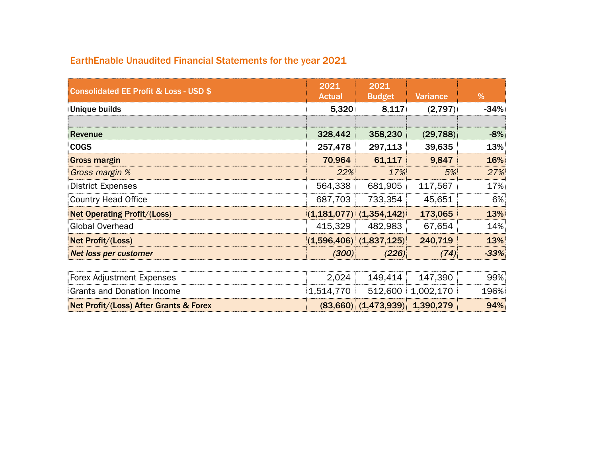## EarthEnable Unaudited Financial Statements for the year 2021

| <b>Consolidated EE Profit &amp; Loss - USD \$</b> | 2021<br><b>Actual</b> | 2021<br><b>Budget</b>              | <b>Variance</b>   | %      |
|---------------------------------------------------|-----------------------|------------------------------------|-------------------|--------|
| Unique builds                                     | 5,320                 | 8,117                              | (2,797)           | $-34%$ |
| Revenue                                           | 328,442               | 358,230                            | (29, 788)         | $-8%$  |
| <b>COGS</b>                                       | 257,478               | 297,113                            | 39,635            | 13%    |
| <b>Gross margin</b>                               | 70,964                | 61,117                             | 9,847             | 16%    |
| Gross margin %                                    | 22%                   | 17%                                | 5%                | 27%    |
| <b>District Expenses</b>                          | 564,338               | 681,905                            | 117,567           | 17%    |
| <b>Country Head Office</b>                        | 687,703               | 733,354                            | 45,651            | 6%     |
| <b>Net Operating Profit/(Loss)</b>                |                       | $(1,181,077)$ $(1,354,142)$        | 173,065           | 13%    |
| <b>Global Overhead</b>                            | 415,329               | 482,983                            | 67.654            | 14%    |
| Net Profit/(Loss)                                 |                       | $(1,596,406)$ $(1,837,125)$        | 240,719           | 13%    |
| Net loss per customer                             | (300)                 | (226)                              | (74)              | $-33%$ |
| Forex Adjustment Expenses                         | 2,024                 | 149,414                            | 147,390           | 99%    |
| <b>Grants and Donation Income</b>                 | 1,514,770             |                                    | 512,600 1,002,170 | 196%   |
| Net Profit/(Loss) After Grants & Forex            |                       | $(83,660)$ $(1,473,939)$ 1,390,279 |                   | 94%    |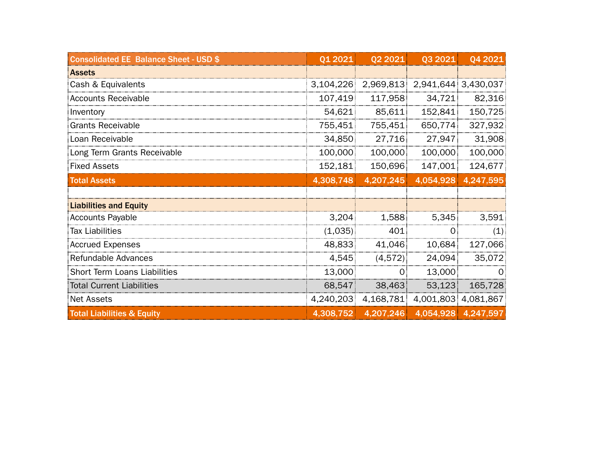| <b>Consolidated EE Balance Sheet - USD \$</b> | Q1 2021   | Q2 2021      | Q3 2021        | Q4 2021             |
|-----------------------------------------------|-----------|--------------|----------------|---------------------|
| <b>Assets</b>                                 |           |              |                |                     |
| Cash & Equivalents                            | 3,104,226 | 2,969,813    |                | 2,941,644 3,430,037 |
| <b>Accounts Receivable</b>                    | 107,419   | 117,958      | 34,721         | 82,316              |
| Inventory                                     | 54,621    | 85,611       | 152,841        | 150,725             |
| <b>Grants Receivable</b>                      | 755,451   | 755,451      | 650,774        | 327,932             |
| Loan Receivable                               | 34,850    | 27,716       | 27,947         | 31,908              |
| Long Term Grants Receivable                   | 100,000   | 100,000      | 100,000        | 100,000             |
| <b>Fixed Assets</b>                           | 152,181   | 150,696      | 147,001        | 124,677             |
| <b>Total Assets</b>                           | 4,308,748 | 4,207,245    | 4,054,928      | 4,247,595           |
|                                               |           |              |                |                     |
| <b>Liabilities and Equity</b>                 |           |              |                |                     |
| <b>Accounts Payable</b>                       | 3,204     | 1,588        | 5,345          | 3,591               |
| <b>Tax Liabilities</b>                        | (1,035)   | 401          | $\overline{0}$ | (1)                 |
| <b>Accrued Expenses</b>                       | 48,833    | 41,046       | 10,684         | 127,066             |
| Refundable Advances                           | 4,545     | (4,572)      | 24,094         | 35,072              |
| Short Term Loans Liabilities                  | 13,000    | $\mathbf{O}$ | 13,000         | $\Omega$            |
| <b>Total Current Liabilities</b>              | 68,547    | 38,463       | 53,123         | 165,728             |
| Net Assets                                    | 4,240,203 | 4,168,781    |                | 4,001,803 4,081,867 |
| <b>Total Liabilities &amp; Equity</b>         | 4,308,752 | 4,207,246    |                | 4,054,928 4,247,597 |